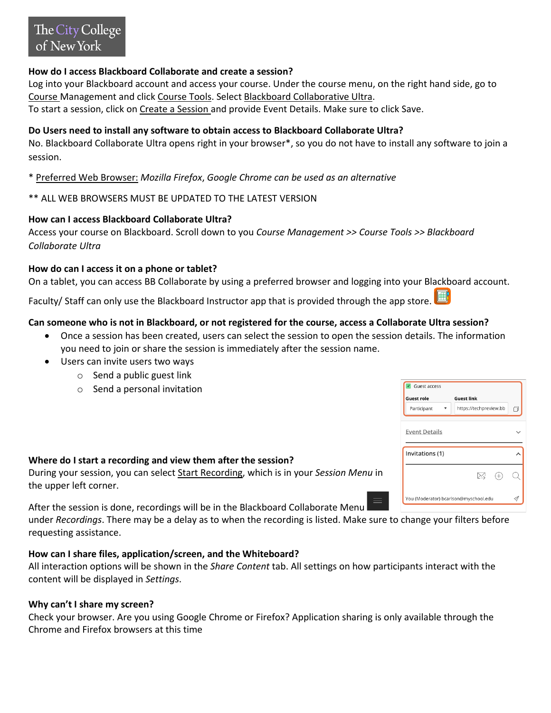## **How do I access Blackboard Collaborate and create a session?**

Log into your Blackboard account and access your course. Under the course menu, on the right hand side, go to Course Management and click Course Tools. Select Blackboard Collaborative Ultra. To start a session, click on Create a Session and provide Event Details. Make sure to click Save.

# **Do Users need to install any software to obtain access to Blackboard Collaborate Ultra?**

No. Blackboard Collaborate Ultra opens right in your browser\*, so you do not have to install any software to join a session.

\* Preferred Web Browser: *Mozilla Firefox*, *Google Chrome can be used as an alternative*

## \*\* ALL WEB BROWSERS MUST BE UPDATED TO THE LATEST VERSION

### **How can I access Blackboard Collaborate Ultra?**

Access your course on Blackboard. Scroll down to you *Course Management >> Course Tools >> Blackboard Collaborate Ultra*

### **How do can I access it on a phone or tablet?**

On a tablet, you can access BB Collaborate by using a preferred browser and logging into your Blackboard account.

Faculty/ Staff can only use the Blackboard Instructor app that is provided through the app store.

### **Can someone who is not in Blackboard, or not registered for the course, access a Collaborate Ultra session?**

- Once a session has been created, users can select the session to open the session details. The information you need to join or share the session is immediately after the session name.
- Users can invite users two ways
	- o Send a public guest link
	- o Send a personal invitation

### **Where do I start a recording and view them after the session?**

During your session, you can select Start Recording, which is in your *Session Menu* in the upper left corner.

After the session is done, recordings will be in the Blackboard Collaborate Menu under *Recordings*. There may be a delay as to when the recording is listed. Make sure to change your filters before requesting assistance.

### **How can I share files, application/screen, and the Whiteboard?**

All interaction options will be shown in the *Share Content* tab. All settings on how participants interact with the content will be displayed in *Settings*.

### **Why can't I share my screen?**

Check your browser. Are you using Google Chrome or Firefox? Application sharing is only available through the Chrome and Firefox browsers at this time